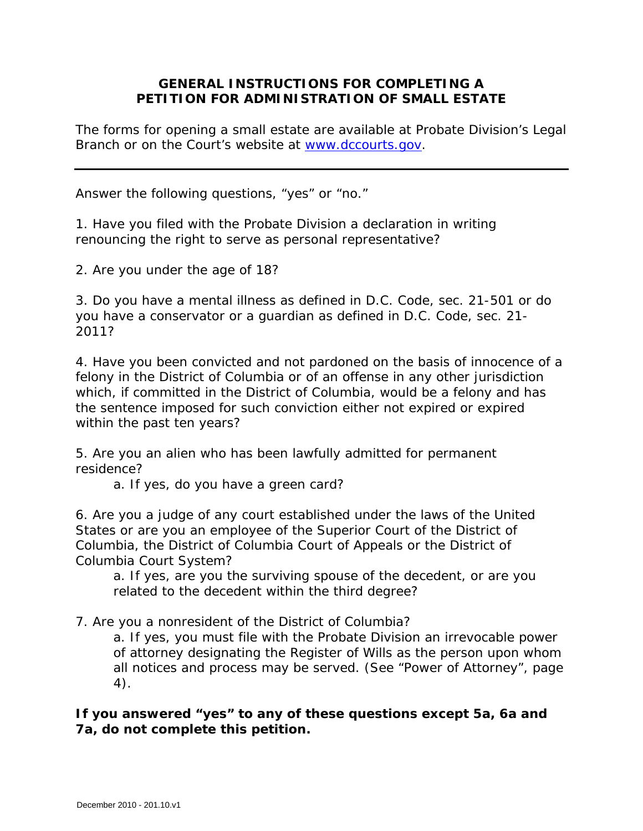## **GENERAL INSTRUCTIONS FOR COMPLETING A PETITION FOR ADMINISTRATION OF SMALL ESTATE**

The forms for opening a small estate are available at Probate Division's Legal Branch or on the Court's website at [www.dccourts.gov.](http://www.dccourts.gov/)

Answer the following questions, "yes" or "no."

1. Have you filed with the Probate Division a declaration in writing renouncing the right to serve as personal representative?

2. Are you under the age of 18?

3. Do you have a mental illness as defined in D.C. Code, sec. 21-501 or do you have a conservator or a guardian as defined in D.C. Code, sec. 21- 2011?

4. Have you been convicted and not pardoned on the basis of innocence of a felony in the District of Columbia or of an offense in any other jurisdiction which, if committed in the District of Columbia, would be a felony and has the sentence imposed for such conviction either not expired or expired within the past ten years?

5. Are you an alien who has been lawfully admitted for permanent residence?

a. If yes, do you have a green card?

6. Are you a judge of any court established under the laws of the United States or are you an employee of the Superior Court of the District of Columbia, the District of Columbia Court of Appeals or the District of Columbia Court System?

a. If yes, are you the surviving spouse of the decedent, or are you related to the decedent within the third degree?

7. Are you a nonresident of the District of Columbia?

a. If yes, you must file with the Probate Division an irrevocable power of attorney designating the Register of Wills as the person upon whom all notices and process may be served. (See "Power of Attorney", page 4).

**If you answered "yes" to any of these questions except 5a, 6a and 7a, do not complete this petition.**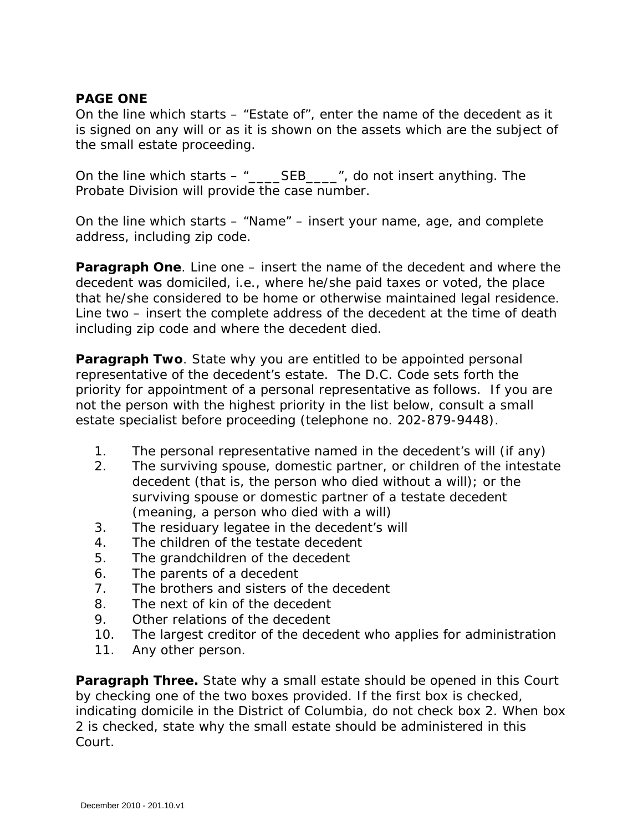#### **PAGE ONE**

On the line which starts – "Estate of", enter the name of the decedent as it is signed on any will or as it is shown on the assets which are the subject of the small estate proceeding.

On the line which starts – "\_\_\_\_SEB\_\_\_\_", do not insert anything. The Probate Division will provide the case number.

On the line which starts – "Name" – insert your name, age, and complete address, including zip code.

**Paragraph One**. Line one – insert the name of the decedent and where the decedent was domiciled, i.e., where he/she paid taxes or voted, the place that he/she considered to be home or otherwise maintained legal residence. Line two – insert the complete address of the decedent at the time of death including zip code and where the decedent died.

**Paragraph Two**. State why you are entitled to be appointed personal representative of the decedent's estate. The D.C. Code sets forth the priority for appointment of a personal representative as follows. If you are not the person with the highest priority in the list below, consult a small estate specialist before proceeding (telephone no. 202-879-9448).

- 1. The personal representative named in the decedent's will (if any)
- 2. The surviving spouse, domestic partner, or children of the intestate decedent (that is, the person who died without a will); or the surviving spouse or domestic partner of a testate decedent (meaning, a person who died with a will)
- 3. The residuary legatee in the decedent's will
- 4. The children of the testate decedent
- 5. The grandchildren of the decedent
- 6. The parents of a decedent
- 7. The brothers and sisters of the decedent
- 8. The next of kin of the decedent
- 9. Other relations of the decedent
- 10. The largest creditor of the decedent who applies for administration
- 11. Any other person.

**Paragraph Three.** State why a small estate should be opened in this Court by checking one of the two boxes provided. If the first box is checked, indicating domicile in the District of Columbia, do not check box 2. When box 2 is checked, state why the small estate should be administered in this Court.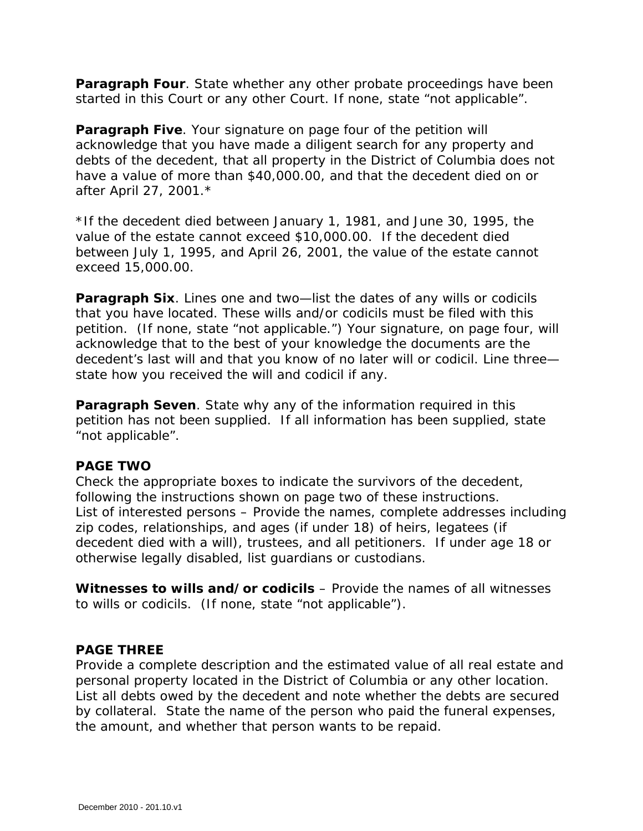**Paragraph Four**. State whether any other probate proceedings have been started in this Court or any other Court. If none, state "not applicable".

**Paragraph Five**. Your signature on page four of the petition will acknowledge that you have made a diligent search for any property and debts of the decedent, that all property in the District of Columbia does not have a value of more than \$40,000.00, and that the decedent died on or after April 27, 2001.\*

*\*If the decedent died between January 1, 1981, and June 30, 1995, the value of the estate cannot exceed \$10,000.00. If the decedent died between July 1, 1995, and April 26, 2001, the value of the estate cannot exceed 15,000.00.* 

**Paragraph Six**. Lines one and two—list the dates of any wills or codicils that you have located. These wills and/or codicils must be filed with this petition. (If none, state "not applicable.") Your signature, on page four, will acknowledge that to the best of your knowledge the documents are the decedent's last will and that you know of no later will or codicil. Line three state how you received the will and codicil if any.

**Paragraph Seven**. State why any of the information required in this petition has not been supplied. If all information has been supplied, state "not applicable".

#### **PAGE TWO**

Check the appropriate boxes to indicate the survivors of the decedent, following the instructions shown on page two of these instructions. List of interested persons – Provide the names, complete addresses including zip codes, relationships, and ages (if under 18) of heirs, legatees (if decedent died with a will), trustees, and all petitioners. If under age 18 or otherwise legally disabled, list guardians or custodians.

**Witnesses to wills and/or codicils** – Provide the names of all witnesses to wills or codicils. (If none, state "not applicable").

#### **PAGE THREE**

Provide a complete description and the estimated value of all real estate and personal property located in the District of Columbia or any other location. List all debts owed by the decedent and note whether the debts are secured by collateral. State the name of the person who paid the funeral expenses, the amount, and whether that person wants to be repaid.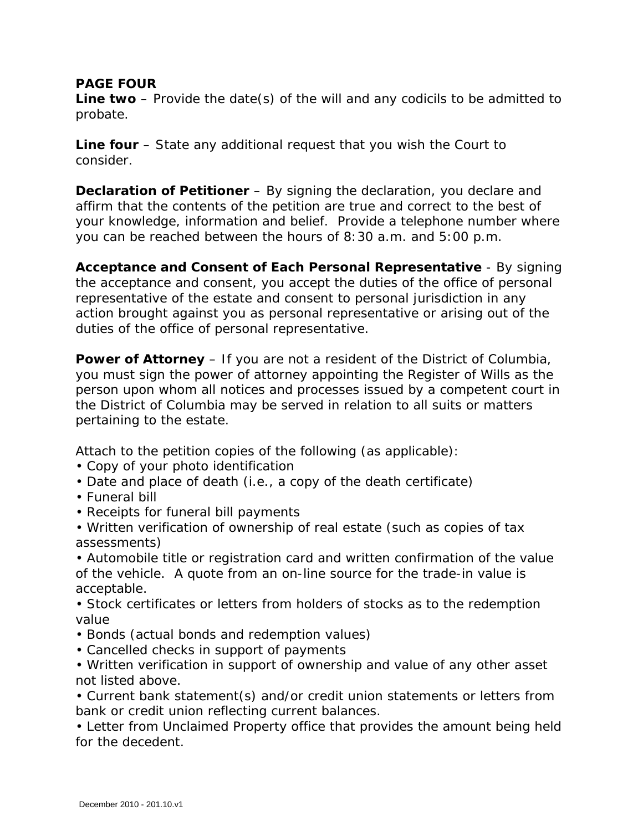### **PAGE FOUR**

**Line two** – Provide the date(s) of the will and any codicils to be admitted to probate.

**Line four** – State any additional request that you wish the Court to consider.

**Declaration of Petitioner** – By signing the declaration, you declare and affirm that the contents of the petition are true and correct to the best of your knowledge, information and belief. Provide a telephone number where you can be reached between the hours of 8:30 a.m. and 5:00 p.m.

**Acceptance and Consent of Each Personal Representative** - By signing the acceptance and consent, you accept the duties of the office of personal representative of the estate and consent to personal jurisdiction in any action brought against you as personal representative or arising out of the duties of the office of personal representative.

**Power of Attorney** – If you are not a resident of the District of Columbia, you must sign the power of attorney appointing the Register of Wills as the person upon whom all notices and processes issued by a competent court in the District of Columbia may be served in relation to all suits or matters pertaining to the estate.

Attach to the petition copies of the following (as applicable):

- Copy of your photo identification
- Date and place of death (i.e., a copy of the death certificate)
- Funeral bill
- Receipts for funeral bill payments
- Written verification of ownership of real estate (such as copies of tax assessments)

• Automobile title or registration card and written confirmation of the value of the vehicle. A quote from an on-line source for the trade-in value is acceptable.

- Stock certificates or letters from holders of stocks as to the redemption value
- Bonds (actual bonds and redemption values)
- Cancelled checks in support of payments
- Written verification in support of ownership and value of any other asset not listed above.

• Current bank statement(s) and/or credit union statements or letters from bank or credit union reflecting current balances.

• Letter from Unclaimed Property office that provides the amount being held for the decedent.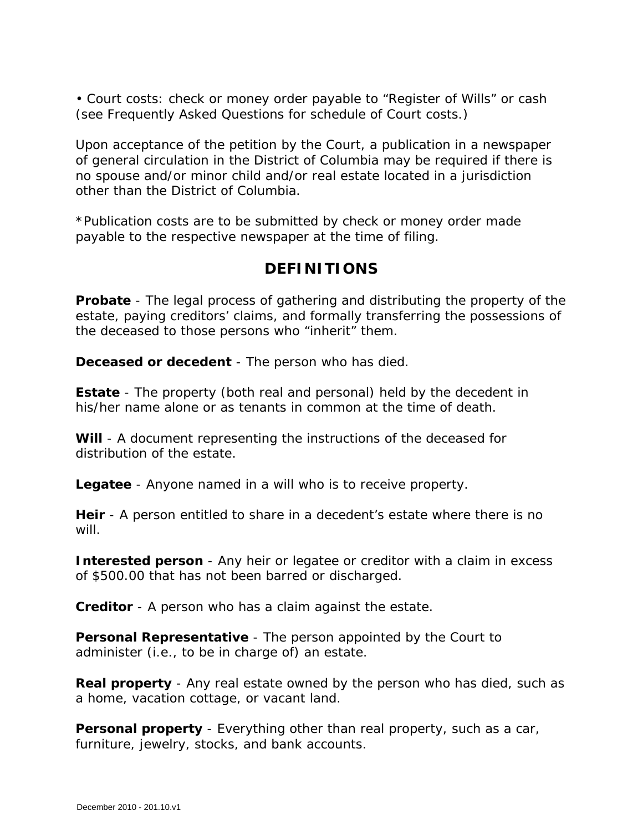• Court costs: check or money order payable to "Register of Wills" or cash (see Frequently Asked Questions for schedule of Court costs.)

Upon acceptance of the petition by the Court, a publication in a newspaper of general circulation in the District of Columbia may be required if there is no spouse and/or minor child and/or real estate located in a jurisdiction other than the District of Columbia.

*\*Publication costs are to be submitted by check or money order made payable to the respective newspaper at the time of filing.* 

# **DEFINITIONS**

**Probate** - The legal process of gathering and distributing the property of the estate, paying creditors' claims, and formally transferring the possessions of the deceased to those persons who "inherit" them.

**Deceased or decedent** - The person who has died.

**Estate** - The property (both real and personal) held by the decedent in his/her name alone or as tenants in common at the time of death.

**Will** - A document representing the instructions of the deceased for distribution of the estate.

**Legatee** - Anyone named in a will who is to receive property.

**Heir** - A person entitled to share in a decedent's estate where there is no will.

**Interested person** - Any heir or legatee or creditor with a claim in excess of \$500.00 that has not been barred or discharged.

**Creditor** - A person who has a claim against the estate.

**Personal Representative** - The person appointed by the Court to administer (i.e., to be in charge of) an estate.

**Real property** - Any real estate owned by the person who has died, such as a home, vacation cottage, or vacant land.

**Personal property** - Everything other than real property, such as a car, furniture, jewelry, stocks, and bank accounts.